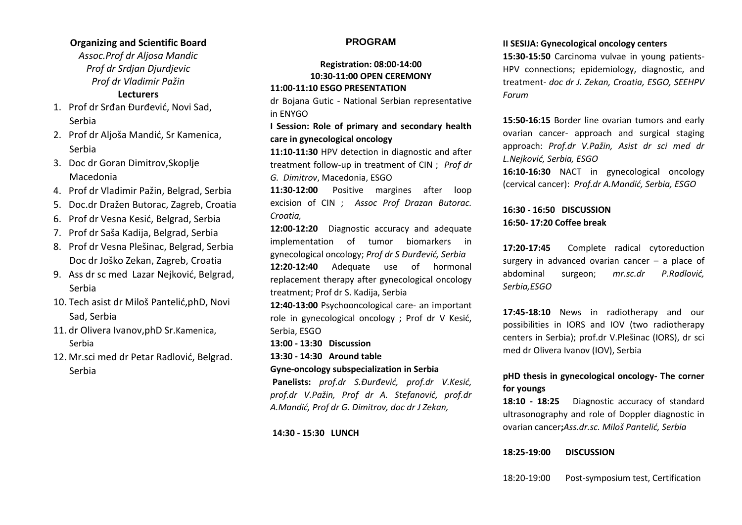# **Organizing and Scientific Board**

*Assoc.Prof dr Aljosa Mandic Prof dr Srdjan Djurdjevic Prof dr Vladimir Pažin* **Lecturers**

- 1. Prof dr Srđan Đurđević, Novi Sad, Serbia
- 2. Prof dr Aljoša Mandić, Sr Kamenica, Serbia
- 3. Doc dr Goran Dimitrov,Skoplje Macedonia
- 4. Prof dr Vladimir Pažin, Belgrad, Serbia
- 5. Doc.dr Dražen Butorac, Zagreb, Croatia
- 6. Prof dr Vesna Kesić, Belgrad, Serbia
- 7. Prof dr Saša Kadija, Belgrad, Serbia
- 8. Prof dr Vesna Plešinac, Belgrad, Serbia Doc dr Joško Zekan, Zagreb, Croatia
- 9. Ass dr sc med Lazar Nejković, Belgrad, Serbia
- 10. Tech asist dr Miloš Pantelić,phD, Novi Sad, Serbia
- 11. dr Olivera Ivanov,phD Sr.Kamenica, Serbia
- 12. Mr.sci med dr Petar Radlović, Belgrad. Serbia

# **PROGRAM**

## **Registration: 08:00-14:00 10:30-11:00 OPEN CEREMONY 11:00-11:10 ESGO PRESENTATION**

dr Bojana Gutic - National Serbian representative in ENYGO

**I Session: Role of primary and secondary health care in gynecological oncology**

**11:10-11:30** HPV detection in diagnostic and after treatment follow-up in treatment of CIN ; *Prof dr G. Dimitrov*, Macedonia, ESGO

**11:30-12:00** Positive margines after loop excision of CIN ; *Assoc Prof Drazan Butorac. Croatia,* 

**12:00-12:20** Diagnostic accuracy and adequate implementation of tumor biomarkers in gynecological oncology; *Prof dr S Đurđević, Serbia* **12:20-12:40** Adequate use of hormonal replacement therapy after gynecological oncology treatment; Prof dr S. Kadija, Serbia

**12:40-13:00** Psychooncological care- an important role in gynecological oncology ; Prof dr V Kesić, Serbia, ESGO

**13:00 - 13:30 Discussion**

**13:30 - 14:30 Around table** 

#### **Gyne-oncology subspecialization in Serbia**

**Panelists:** *prof.dr S.Đurđević, prof.dr V.Kesić, prof.dr V.Pažin, Prof dr A. Stefanović, prof.dr A.Mandić, Prof dr G. Dimitrov, doc dr J Zekan,* 

**14:30 - 15:30 LUNCH**

#### **II SESIJA: Gynecological oncology centers**

**15:30-15:50** Carcinoma vulvae in young patients-HPV connections; epidemiology, diagnostic, and treatment- *doc dr J. Zekan, Croatia, ESGO, SEEHPV Forum*

**15:50-16:15** Border line ovarian tumors and early ovarian cancer- approach and surgical staging approach: *Prof.dr V.Pažin, Asist dr sci med dr L.Nejković, Serbia, ESGO* 

**16:10-16:30** NACT in gynecological oncology (cervical cancer): *Prof.dr A.Mandić, Serbia, ESGO*

# **16:30 - 16:50 DISCUSSION 16:50- 17:20 Coffee break**

**17:20-17:45** Complete radical cytoreduction surgery in advanced ovarian cancer – a place of abdominal surgeon; *mr.sc.dr P.Radlović, Serbia,ESGO*

**17:45-18:10** News in radiotherapy and our possibilities in IORS and IOV (two radiotherapy centers in Serbia); prof.dr V.Plešinac (IORS), dr sci med dr Olivera Ivanov (IOV), Serbia

# **pHD thesis in gynecological oncology- The corner for youngs**

**18:10 - 18:25** Diagnostic accuracy of standard ultrasonography and role of Doppler diagnostic in ovarian cancer**;***Ass.dr.sc. Miloš Pantelić, Serbia*

### **18:25-19:00 DISCUSSION**

18:20-19:00 Post-symposium test, Certification